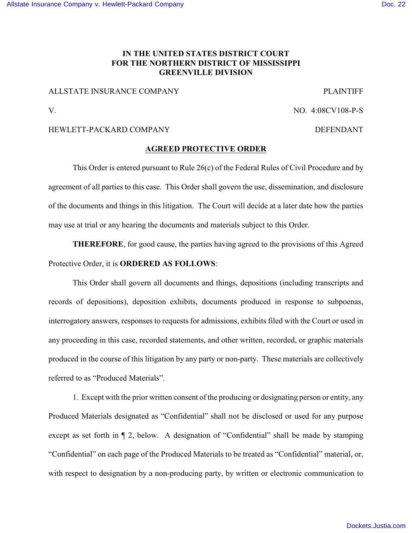### **IN THE UNITED STATES DISTRICT COURT FOR THE NORTHERN DISTRICT OF MISSISSIPPI GREENVILLE DIVISION**

### ALLSTATE INSURANCE COMPANY PLAINTIFF

V. NO. 4:08CV108-P-S

### HEWLETT-PACKARD COMPANY DEFENDANT

#### **AGREED PROTECTIVE ORDER**

This Order is entered pursuant to Rule 26(c) of the Federal Rules of Civil Procedure and by agreement of all parties to this case. This Order shall govern the use, dissemination, and disclosure of the documents and things in this litigation. The Court will decide at a later date how the parties may use at trial or any hearing the documents and materials subject to this Order.

**THEREFORE**, for good cause, the parties having agreed to the provisions of this Agreed Protective Order, it is **ORDERED AS FOLLOWS**:

This Order shall govern all documents and things, depositions (including transcripts and records of depositions), deposition exhibits, documents produced in response to subpoenas, interrogatory answers, responses to requests for admissions, exhibits filed with the Court or used in any proceeding in this case, recorded statements, and other written, recorded, or graphic materials produced in the course of this litigation by any party or non-party. These materials are collectively referred to as "Produced Materials".

1. Except with the prior written consent of the producing or designating person or entity, any Produced Materials designated as "Confidential" shall not be disclosed or used for any purpose except as set forth in ¶ 2, below. A designation of "Confidential" shall be made by stamping "Confidential" on each page of the Produced Materials to be treated as "Confidential" material, or, with respect to designation by a non-producing party, by written or electronic communication to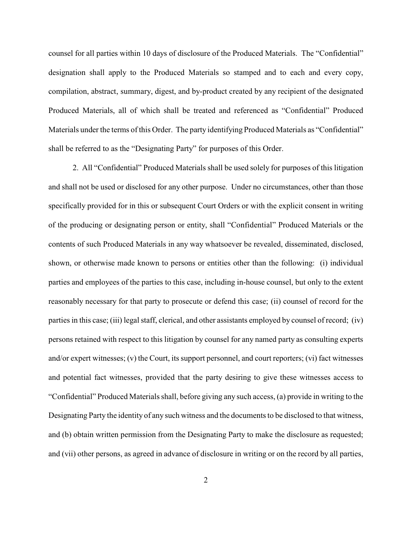counsel for all parties within 10 days of disclosure of the Produced Materials. The "Confidential" designation shall apply to the Produced Materials so stamped and to each and every copy, compilation, abstract, summary, digest, and by-product created by any recipient of the designated Produced Materials, all of which shall be treated and referenced as "Confidential" Produced Materials under the terms of this Order. The party identifying Produced Materials as "Confidential" shall be referred to as the "Designating Party" for purposes of this Order.

2. All "Confidential" Produced Materials shall be used solely for purposes of this litigation and shall not be used or disclosed for any other purpose. Under no circumstances, other than those specifically provided for in this or subsequent Court Orders or with the explicit consent in writing of the producing or designating person or entity, shall "Confidential" Produced Materials or the contents of such Produced Materials in any way whatsoever be revealed, disseminated, disclosed, shown, or otherwise made known to persons or entities other than the following: (i) individual parties and employees of the parties to this case, including in-house counsel, but only to the extent reasonably necessary for that party to prosecute or defend this case; (ii) counsel of record for the parties in this case; (iii) legal staff, clerical, and other assistants employed by counsel of record; (iv) persons retained with respect to this litigation by counsel for any named party as consulting experts and/or expert witnesses; (v) the Court, its support personnel, and court reporters; (vi) fact witnesses and potential fact witnesses, provided that the party desiring to give these witnesses access to "Confidential" Produced Materials shall, before giving any such access, (a) provide in writing to the Designating Party the identity of any such witness and the documents to be disclosed to that witness, and (b) obtain written permission from the Designating Party to make the disclosure as requested; and (vii) other persons, as agreed in advance of disclosure in writing or on the record by all parties,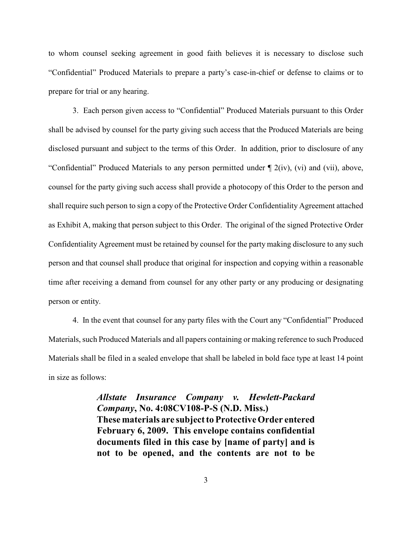to whom counsel seeking agreement in good faith believes it is necessary to disclose such "Confidential" Produced Materials to prepare a party's case-in-chief or defense to claims or to prepare for trial or any hearing.

3. Each person given access to "Confidential" Produced Materials pursuant to this Order shall be advised by counsel for the party giving such access that the Produced Materials are being disclosed pursuant and subject to the terms of this Order. In addition, prior to disclosure of any "Confidential" Produced Materials to any person permitted under ¶ 2(iv), (vi) and (vii), above, counsel for the party giving such access shall provide a photocopy of this Order to the person and shall require such person to sign a copy of the Protective Order Confidentiality Agreement attached as Exhibit A, making that person subject to this Order. The original of the signed Protective Order Confidentiality Agreement must be retained by counsel for the party making disclosure to any such person and that counsel shall produce that original for inspection and copying within a reasonable time after receiving a demand from counsel for any other party or any producing or designating person or entity.

4. In the event that counsel for any party files with the Court any "Confidential" Produced Materials, such Produced Materials and all papers containing or making reference to such Produced Materials shall be filed in a sealed envelope that shall be labeled in bold face type at least 14 point in size as follows:

> *Allstate Insurance Company v. Hewlett-Packard Company***, No. 4:08CV108-P-S (N.D. Miss.) These materials are subject to Protective Order entered February 6, 2009. This envelope contains confidential documents filed in this case by [name of party] and is not to be opened, and the contents are not to be**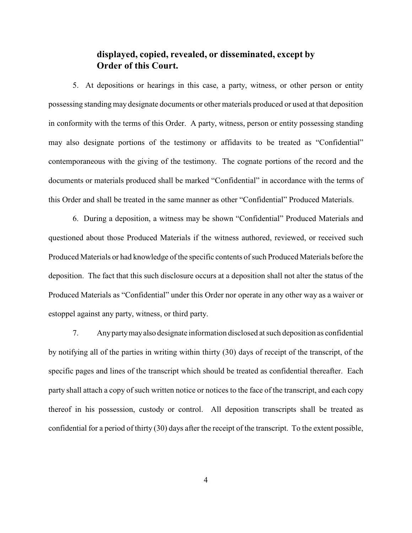## **displayed, copied, revealed, or disseminated, except by Order of this Court.**

5. At depositions or hearings in this case, a party, witness, or other person or entity possessing standing may designate documents or other materials produced or used at that deposition in conformity with the terms of this Order. A party, witness, person or entity possessing standing may also designate portions of the testimony or affidavits to be treated as "Confidential" contemporaneous with the giving of the testimony. The cognate portions of the record and the documents or materials produced shall be marked "Confidential" in accordance with the terms of this Order and shall be treated in the same manner as other "Confidential" Produced Materials.

6. During a deposition, a witness may be shown "Confidential" Produced Materials and questioned about those Produced Materials if the witness authored, reviewed, or received such Produced Materials or had knowledge of the specific contents of such Produced Materials before the deposition. The fact that this such disclosure occurs at a deposition shall not alter the status of the Produced Materials as "Confidential" under this Order nor operate in any other way as a waiver or estoppel against any party, witness, or third party.

7. Any party may also designate information disclosed at such deposition as confidential by notifying all of the parties in writing within thirty (30) days of receipt of the transcript, of the specific pages and lines of the transcript which should be treated as confidential thereafter. Each party shall attach a copy of such written notice or notices to the face of the transcript, and each copy thereof in his possession, custody or control. All deposition transcripts shall be treated as confidential for a period of thirty (30) days after the receipt of the transcript. To the extent possible,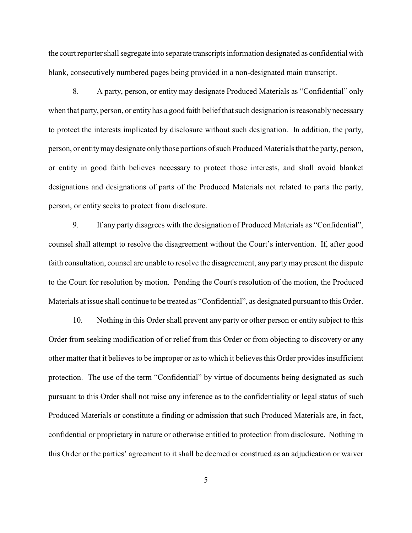the court reporter shall segregate into separate transcripts information designated as confidential with blank, consecutively numbered pages being provided in a non-designated main transcript.

8. A party, person, or entity may designate Produced Materials as "Confidential" only when that party, person, or entity has a good faith belief that such designation is reasonably necessary to protect the interests implicated by disclosure without such designation. In addition, the party, person, or entity may designate only those portions of such Produced Materials that the party, person, or entity in good faith believes necessary to protect those interests, and shall avoid blanket designations and designations of parts of the Produced Materials not related to parts the party, person, or entity seeks to protect from disclosure.

9. If any party disagrees with the designation of Produced Materials as "Confidential", counsel shall attempt to resolve the disagreement without the Court's intervention. If, after good faith consultation, counsel are unable to resolve the disagreement, any party may present the dispute to the Court for resolution by motion. Pending the Court's resolution of the motion, the Produced Materials at issue shall continue to be treated as "Confidential", as designated pursuant to this Order.

10. Nothing in this Order shall prevent any party or other person or entity subject to this Order from seeking modification of or relief from this Order or from objecting to discovery or any other matter that it believes to be improper or as to which it believes this Order provides insufficient protection. The use of the term "Confidential" by virtue of documents being designated as such pursuant to this Order shall not raise any inference as to the confidentiality or legal status of such Produced Materials or constitute a finding or admission that such Produced Materials are, in fact, confidential or proprietary in nature or otherwise entitled to protection from disclosure. Nothing in this Order or the parties' agreement to it shall be deemed or construed as an adjudication or waiver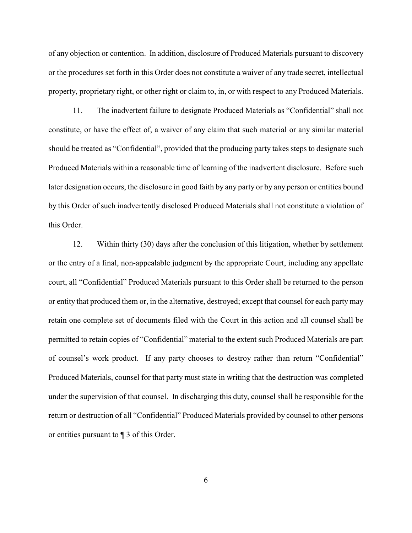of any objection or contention. In addition, disclosure of Produced Materials pursuant to discovery or the procedures set forth in this Order does not constitute a waiver of any trade secret, intellectual property, proprietary right, or other right or claim to, in, or with respect to any Produced Materials.

11. The inadvertent failure to designate Produced Materials as "Confidential" shall not constitute, or have the effect of, a waiver of any claim that such material or any similar material should be treated as "Confidential", provided that the producing party takes steps to designate such Produced Materials within a reasonable time of learning of the inadvertent disclosure. Before such later designation occurs, the disclosure in good faith by any party or by any person or entities bound by this Order of such inadvertently disclosed Produced Materials shall not constitute a violation of this Order.

12. Within thirty (30) days after the conclusion of this litigation, whether by settlement or the entry of a final, non-appealable judgment by the appropriate Court, including any appellate court, all "Confidential" Produced Materials pursuant to this Order shall be returned to the person or entity that produced them or, in the alternative, destroyed; except that counsel for each party may retain one complete set of documents filed with the Court in this action and all counsel shall be permitted to retain copies of "Confidential" material to the extent such Produced Materials are part of counsel's work product. If any party chooses to destroy rather than return "Confidential" Produced Materials, counsel for that party must state in writing that the destruction was completed under the supervision of that counsel. In discharging this duty, counsel shall be responsible for the return or destruction of all "Confidential" Produced Materials provided by counsel to other persons or entities pursuant to ¶ 3 of this Order.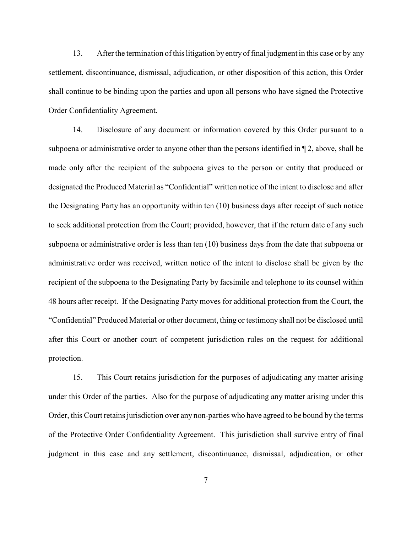13. After the termination of this litigation by entry of final judgment in this case or by any settlement, discontinuance, dismissal, adjudication, or other disposition of this action, this Order shall continue to be binding upon the parties and upon all persons who have signed the Protective Order Confidentiality Agreement.

14. Disclosure of any document or information covered by this Order pursuant to a subpoena or administrative order to anyone other than the persons identified in ¶ 2, above, shall be made only after the recipient of the subpoena gives to the person or entity that produced or designated the Produced Material as "Confidential" written notice of the intent to disclose and after the Designating Party has an opportunity within ten (10) business days after receipt of such notice to seek additional protection from the Court; provided, however, that if the return date of any such subpoena or administrative order is less than ten (10) business days from the date that subpoena or administrative order was received, written notice of the intent to disclose shall be given by the recipient of the subpoena to the Designating Party by facsimile and telephone to its counsel within 48 hours after receipt. If the Designating Party moves for additional protection from the Court, the "Confidential" Produced Material or other document, thing or testimony shall not be disclosed until after this Court or another court of competent jurisdiction rules on the request for additional protection.

15. This Court retains jurisdiction for the purposes of adjudicating any matter arising under this Order of the parties. Also for the purpose of adjudicating any matter arising under this Order, this Court retains jurisdiction over any non-parties who have agreed to be bound by the terms of the Protective Order Confidentiality Agreement. This jurisdiction shall survive entry of final judgment in this case and any settlement, discontinuance, dismissal, adjudication, or other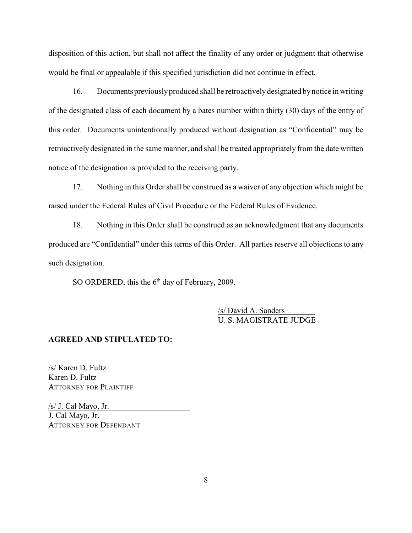disposition of this action, but shall not affect the finality of any order or judgment that otherwise would be final or appealable if this specified jurisdiction did not continue in effect.

16. Documents previously produced shall be retroactively designated by notice in writing of the designated class of each document by a bates number within thirty (30) days of the entry of this order. Documents unintentionally produced without designation as "Confidential" may be retroactively designated in the same manner, and shall be treated appropriately from the date written notice of the designation is provided to the receiving party.

17. Nothing in this Order shall be construed as a waiver of any objection which might be raised under the Federal Rules of Civil Procedure or the Federal Rules of Evidence.

18. Nothing in this Order shall be construed as an acknowledgment that any documents produced are "Confidential" under this terms of this Order. All parties reserve all objections to any such designation.

SO ORDERED, this the  $6<sup>th</sup>$  day of February, 2009.

/s/ David A. Sanders U. S. MAGISTRATE JUDGE

#### **AGREED AND STIPULATED TO:**

/s/ Karen D. Fultz Karen D. Fultz ATTORNEY FOR PLAINTIFF

/s/ J. Cal Mayo, Jr. J. Cal Mayo, Jr. ATTORNEY FOR DEFENDANT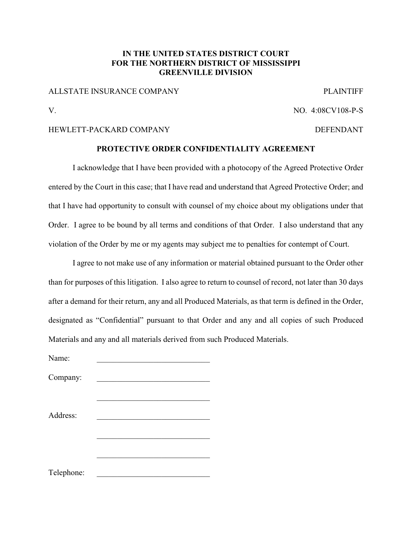### **IN THE UNITED STATES DISTRICT COURT FOR THE NORTHERN DISTRICT OF MISSISSIPPI GREENVILLE DIVISION**

#### ALLSTATE INSURANCE COMPANY PLAINTIFF

# V. NO. 4:08CV108-P-S

### HEWLETT-PACKARD COMPANY DEFENDANT

### **PROTECTIVE ORDER CONFIDENTIALITY AGREEMENT**

I acknowledge that I have been provided with a photocopy of the Agreed Protective Order entered by the Court in this case; that I have read and understand that Agreed Protective Order; and that I have had opportunity to consult with counsel of my choice about my obligations under that Order. I agree to be bound by all terms and conditions of that Order. I also understand that any violation of the Order by me or my agents may subject me to penalties for contempt of Court.

I agree to not make use of any information or material obtained pursuant to the Order other than for purposes of this litigation. I also agree to return to counsel of record, not later than 30 days after a demand for their return, any and all Produced Materials, as that term is defined in the Order, designated as "Confidential" pursuant to that Order and any and all copies of such Produced Materials and any and all materials derived from such Produced Materials.

| Name:      |  |
|------------|--|
| Company:   |  |
|            |  |
| Address:   |  |
|            |  |
|            |  |
| Telephone: |  |